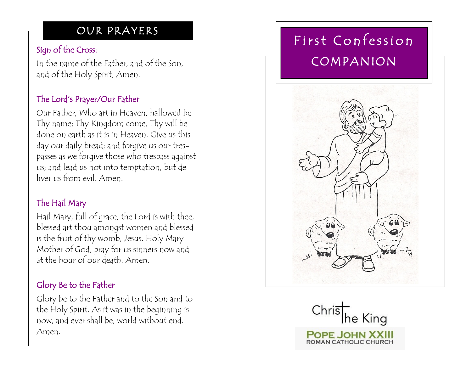# OUR PRAYERS

### Sign of the Cross:

In the name of the Father, and of the Son, and of the Holy Spirit, Amen.

## The Lord's Prayer/Our Father

Our Father, Who art in Heaven, hallowed be Thy name; Thy Kingdom come, Thy will be done on earth as it is in Heaven. Give us this day our daily bread; and forgive us our trespasses as we forgive those who trespass against us; and lead us not into temptation, but deliver us from evil. Amen.

#### The Hail Mary

Hail Mary, full of grace, the Lord is with thee, blessed art thou amongst women and blessed is the fruit of thy womb, Jesus. Holy Mary Mother of God, pray for us sinners now and at the hour of our death. Amen.

## Glory Be to the Father

Glory be to the Father and to the Son and to the Holy Spirit. As it was in the beginning is now, and ever shall be, world without end. Amen.

# First Confession COMPANION